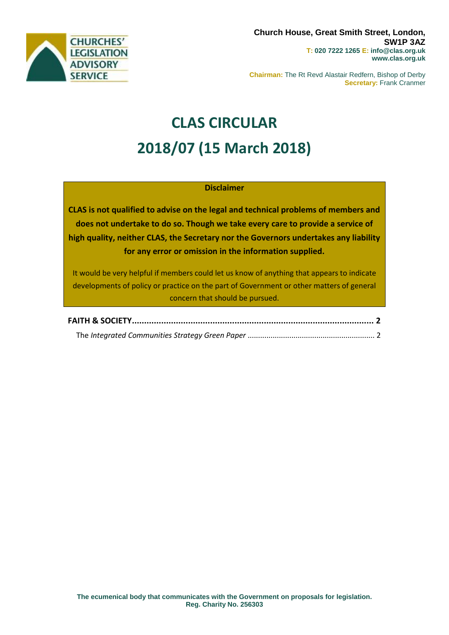

**Chairman:** The Rt Revd Alastair Redfern, Bishop of Derby **Secretary:** Frank Cranmer

# **CLAS CIRCULAR 2018/07 (15 March 2018)**

# **Disclaimer**

**CLAS is not qualified to advise on the legal and technical problems of members and does not undertake to do so. Though we take every care to provide a service of high quality, neither CLAS, the Secretary nor the Governors undertakes any liability for any error or omission in the information supplied.**

It would be very helpful if members could let us know of anything that appears to indicate developments of policy or practice on the part of Government or other matters of general concern that should be pursued.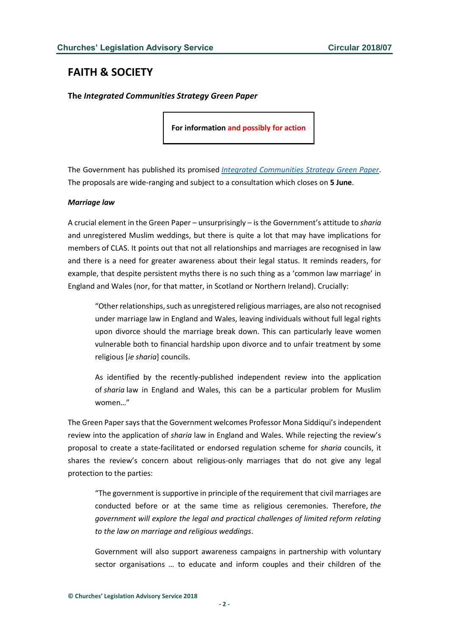# <span id="page-1-0"></span>**FAITH & SOCIETY**

<span id="page-1-1"></span>**The** *Integrated Communities Strategy Green Paper*

**For information and possibly for action**

The Government has published its promised *[Integrated Communities Strategy Green Paper](https://www.gov.uk/government/uploads/system/uploads/attachment_data/file/689944/Integrated_Communities_Strategy_Green_Paper.pdf)*. The proposals are wide-ranging and subject to a consultation which closes on **5 June**.

### *Marriage law*

A crucial element in the Green Paper – unsurprisingly – is the Government's attitude to *sharia* and unregistered Muslim weddings, but there is quite a lot that may have implications for members of CLAS. It points out that not all relationships and marriages are recognised in law and there is a need for greater awareness about their legal status. It reminds readers, for example, that despite persistent myths there is no such thing as a 'common law marriage' in England and Wales (nor, for that matter, in Scotland or Northern Ireland). Crucially:

"Other relationships, such as unregistered religious marriages, are also not recognised under marriage law in England and Wales, leaving individuals without full legal rights upon divorce should the marriage break down. This can particularly leave women vulnerable both to financial hardship upon divorce and to unfair treatment by some religious [*ie sharia*] councils.

As identified by the recently-published independent review into the application of *sharia* law in England and Wales, this can be a particular problem for Muslim women…"

The Green Paper says that the Government welcomes Professor Mona Siddiqui's independent review into the application of *sharia* law in England and Wales. While rejecting the review's proposal to create a state-facilitated or endorsed regulation scheme for *sharia* councils, it shares the review's concern about religious-only marriages that do not give any legal protection to the parties:

"The government is supportive in principle of the requirement that civil marriages are conducted before or at the same time as religious ceremonies. Therefore, *the government will explore the legal and practical challenges of limited reform relating to the law on marriage and religious weddings*.

Government will also support awareness campaigns in partnership with voluntary sector organisations … to educate and inform couples and their children of the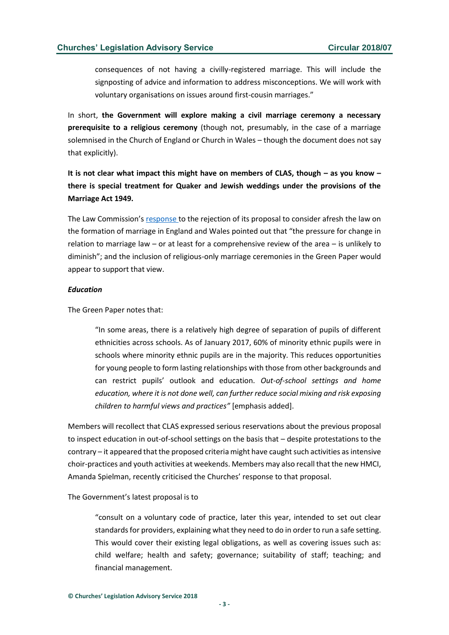consequences of not having a civilly-registered marriage. This will include the signposting of advice and information to address misconceptions. We will work with voluntary organisations on issues around first-cousin marriages."

In short, **the Government will explore making a civil marriage ceremony a necessary prerequisite to a religious ceremony** (though not, presumably, in the case of a marriage solemnised in the Church of England or Church in Wales – though the document does not say that explicitly).

**It is not clear what impact this might have on members of CLAS, though – as you know – there is special treatment for Quaker and Jewish weddings under the provisions of the Marriage Act 1949.**

The Law Commission's [response](https://s3-eu-west-2.amazonaws.com/lawcom-prod-storage-11jsxou24uy7q/uploads/2015/12/Letter-to-Dominic-Raab-MP-Response-to-protocol-support-rejection-26.10.2017.pdf) to the rejection of its proposal to consider afresh the law on the formation of marriage in England and Wales pointed out that "the pressure for change in relation to marriage law – or at least for a comprehensive review of the area – is unlikely to diminish"; and the inclusion of religious-only marriage ceremonies in the Green Paper would appear to support that view.

#### *Education*

The Green Paper notes that:

"In some areas, there is a relatively high degree of separation of pupils of different ethnicities across schools. As of January 2017, 60% of minority ethnic pupils were in schools where minority ethnic pupils are in the majority. This reduces opportunities for young people to form lasting relationships with those from other backgrounds and can restrict pupils' outlook and education. *Out-of-school settings and home education, where it is not done well, can further reduce social mixing and risk exposing children to harmful views and practices"* [emphasis added].

Members will recollect that CLAS expressed serious reservations about the previous proposal to inspect education in out-of-school settings on the basis that – despite protestations to the contrary – it appeared that the proposed criteria might have caught such activities as intensive choir-practices and youth activities at weekends. Members may also recall that the new HMCI, Amanda Spielman, recently criticised the Churches' response to that proposal.

The Government's latest proposal is to

"consult on a voluntary code of practice, later this year, intended to set out clear standards for providers, explaining what they need to do in order to run a safe setting. This would cover their existing legal obligations, as well as covering issues such as: child welfare; health and safety; governance; suitability of staff; teaching; and financial management.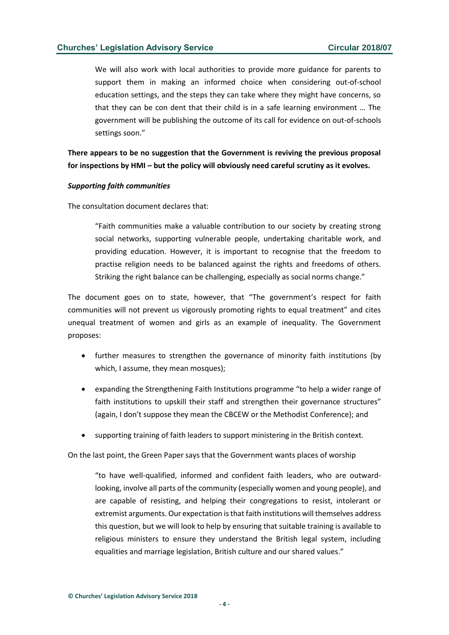We will also work with local authorities to provide more guidance for parents to support them in making an informed choice when considering out-of-school education settings, and the steps they can take where they might have concerns, so that they can be con dent that their child is in a safe learning environment … The government will be publishing the outcome of its call for evidence on out-of-schools settings soon."

**There appears to be no suggestion that the Government is reviving the previous proposal for inspections by HMI – but the policy will obviously need careful scrutiny as it evolves.**

#### *Supporting faith communities*

The consultation document declares that:

"Faith communities make a valuable contribution to our society by creating strong social networks, supporting vulnerable people, undertaking charitable work, and providing education. However, it is important to recognise that the freedom to practise religion needs to be balanced against the rights and freedoms of others. Striking the right balance can be challenging, especially as social norms change."

The document goes on to state, however, that "The government's respect for faith communities will not prevent us vigorously promoting rights to equal treatment" and cites unequal treatment of women and girls as an example of inequality. The Government proposes:

- further measures to strengthen the governance of minority faith institutions (by which, I assume, they mean mosques):
- expanding the Strengthening Faith Institutions programme "to help a wider range of faith institutions to upskill their staff and strengthen their governance structures" (again, I don't suppose they mean the CBCEW or the Methodist Conference); and
- supporting training of faith leaders to support ministering in the British context.

On the last point, the Green Paper says that the Government wants places of worship

"to have well-qualified, informed and confident faith leaders, who are outwardlooking, involve all parts of the community (especially women and young people), and are capable of resisting, and helping their congregations to resist, intolerant or extremist arguments. Our expectation is that faith institutions will themselves address this question, but we will look to help by ensuring that suitable training is available to religious ministers to ensure they understand the British legal system, including equalities and marriage legislation, British culture and our shared values."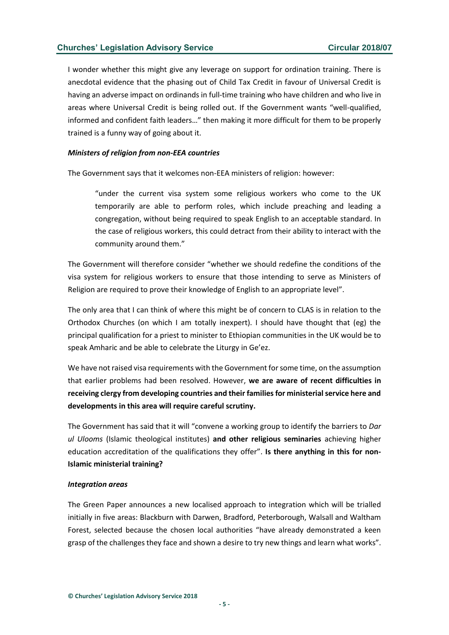I wonder whether this might give any leverage on support for ordination training. There is anecdotal evidence that the phasing out of Child Tax Credit in favour of Universal Credit is having an adverse impact on ordinands in full-time training who have children and who live in areas where Universal Credit is being rolled out. If the Government wants "well-qualified, informed and confident faith leaders…" then making it more difficult for them to be properly trained is a funny way of going about it.

### *Ministers of religion from non-EEA countries*

The Government says that it welcomes non-EEA ministers of religion: however:

"under the current visa system some religious workers who come to the UK temporarily are able to perform roles, which include preaching and leading a congregation, without being required to speak English to an acceptable standard. In the case of religious workers, this could detract from their ability to interact with the community around them."

The Government will therefore consider "whether we should redefine the conditions of the visa system for religious workers to ensure that those intending to serve as Ministers of Religion are required to prove their knowledge of English to an appropriate level".

The only area that I can think of where this might be of concern to CLAS is in relation to the Orthodox Churches (on which I am totally inexpert). I should have thought that (eg) the principal qualification for a priest to minister to Ethiopian communities in the UK would be to speak Amharic and be able to celebrate the Liturgy in Ge'ez.

We have not raised visa requirements with the Government for some time, on the assumption that earlier problems had been resolved. However, **we are aware of recent difficulties in receiving clergy from developing countries and their families for ministerial service here and developments in this area will require careful scrutiny.**

The Government has said that it will "convene a working group to identify the barriers to *Dar ul Ulooms* (Islamic theological institutes) **and other religious seminaries** achieving higher education accreditation of the qualifications they offer". **Is there anything in this for non-Islamic ministerial training?**

#### *Integration areas*

The Green Paper announces a new localised approach to integration which will be trialled initially in five areas: Blackburn with Darwen, Bradford, Peterborough, Walsall and Waltham Forest, selected because the chosen local authorities "have already demonstrated a keen grasp of the challenges they face and shown a desire to try new things and learn what works".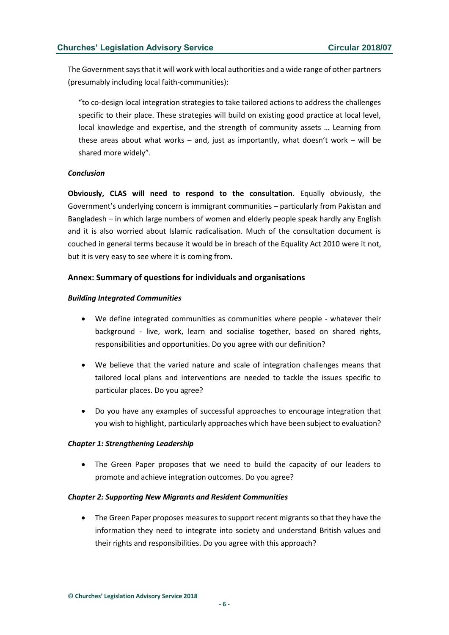The Government says that it will work with local authorities and a wide range of other partners (presumably including local faith-communities):

"to co-design local integration strategies to take tailored actions to address the challenges specific to their place. These strategies will build on existing good practice at local level, local knowledge and expertise, and the strength of community assets … Learning from these areas about what works – and, just as importantly, what doesn't work – will be shared more widely".

# *Conclusion*

**Obviously, CLAS will need to respond to the consultation**. Equally obviously, the Government's underlying concern is immigrant communities – particularly from Pakistan and Bangladesh – in which large numbers of women and elderly people speak hardly any English and it is also worried about Islamic radicalisation. Much of the consultation document is couched in general terms because it would be in breach of the Equality Act 2010 were it not, but it is very easy to see where it is coming from.

# **Annex: Summary of questions for individuals and organisations**

# *Building Integrated Communities*

- We define integrated communities as communities where people whatever their background - live, work, learn and socialise together, based on shared rights, responsibilities and opportunities. Do you agree with our definition?
- We believe that the varied nature and scale of integration challenges means that tailored local plans and interventions are needed to tackle the issues specific to particular places. Do you agree?
- Do you have any examples of successful approaches to encourage integration that you wish to highlight, particularly approaches which have been subject to evaluation?

# *Chapter 1: Strengthening Leadership*

• The Green Paper proposes that we need to build the capacity of our leaders to promote and achieve integration outcomes. Do you agree?

# *Chapter 2: Supporting New Migrants and Resident Communities*

• The Green Paper proposes measures to support recent migrants so that they have the information they need to integrate into society and understand British values and their rights and responsibilities. Do you agree with this approach?